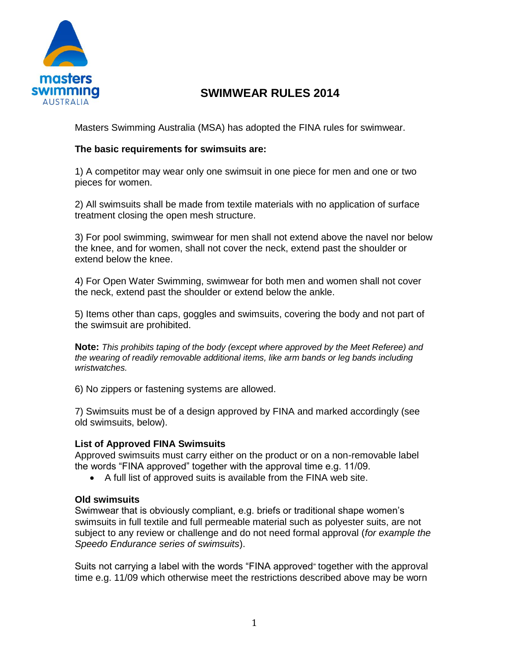

## **SWIMWEAR RULES 2014**

Masters Swimming Australia (MSA) has adopted the FINA rules for swimwear.

#### **The basic requirements for swimsuits are:**

1) A competitor may wear only one swimsuit in one piece for men and one or two pieces for women.

2) All swimsuits shall be made from textile materials with no application of surface treatment closing the open mesh structure.

3) For pool swimming, swimwear for men shall not extend above the navel nor below the knee, and for women, shall not cover the neck, extend past the shoulder or extend below the knee.

4) For Open Water Swimming, swimwear for both men and women shall not cover the neck, extend past the shoulder or extend below the ankle.

5) Items other than caps, goggles and swimsuits, covering the body and not part of the swimsuit are prohibited.

**Note:** *This prohibits taping of the body (except where approved by the Meet Referee) and the wearing of readily removable additional items, like arm bands or leg bands including wristwatches.* 

6) No zippers or fastening systems are allowed.

7) Swimsuits must be of a design approved by FINA and marked accordingly (see old swimsuits, below).

#### **List of Approved FINA Swimsuits**

Approved swimsuits must carry either on the product or on a non-removable label the words "FINA approved" together with the approval time e.g. 11/09.

A full list of approved suits is available from the FINA web site.

#### **Old swimsuits**

Swimwear that is obviously compliant, e.g. briefs or traditional shape women's swimsuits in full textile and full permeable material such as polyester suits, are not subject to any review or challenge and do not need formal approval (*for example the Speedo Endurance series of swimsuits*).

Suits not carrying a label with the words "FINA approved" together with the approval time e.g. 11/09 which otherwise meet the restrictions described above may be worn